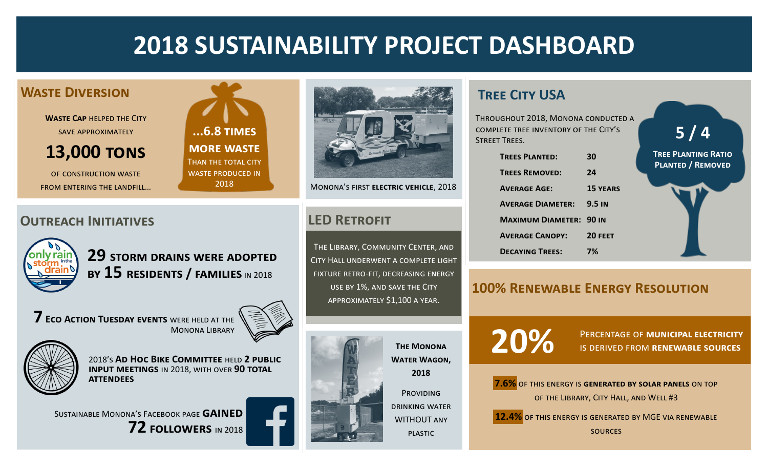# **2018 SUSTAINABILITY PROJECT DASHBOARD**

#### **Waste Diversion**

**Waste Cap** [helped the City](http://mymonona.com/1290/Waste-Diversion-at-Monona-Riverfront-Red)  [save approximately](http://mymonona.com/1290/Waste-Diversion-at-Monona-Riverfront-Red) 

### **[13,000 tons](http://mymonona.com/1290/Waste-Diversion-at-Monona-Riverfront-Red)**

of construction waste from entering the landfill…

**...6.8 times more waste** Than the total city waste produced in 2018



Monona's first **electric vehicle**, 2018

The Library, Community Center, and City Hall underwent a complete light fixture retro-fit, decreasing energy use by 1%, and save the City approximately \$1,100 a year.



**The Monona Water Wagon, 2018** PROVIDING drinking water WITHOUT any

plastic

## **Tree City USA**

Throughout 2018, Monona conducted a complete tree inventory of the City's Street Trees.

| <b>TREES PLANTED:</b>          | 30              |
|--------------------------------|-----------------|
| <b>TREES REMOVED:</b>          | 24              |
| <b>AVERAGE AGE:</b>            | <b>15 YEARS</b> |
| <b>AVERAGE DIAMETER:</b>       | <b>9.5 IN</b>   |
| <b>MAXIMUM DIAMETER: 90 IN</b> |                 |
| <b>AVERAGE CANOPY:</b>         | 20 FEET         |
| <b>DECAYING TREES:</b>         | 7%              |

**5 / 4 Tree Planting Ratio**

# **Planted / Removed**

#### **100% Renewable Energy Resolution**

**20%**

Percentage of **municipal electricity** is derived from **renewable sources**



**12.4%** of this energy is generated by MGE via renewable

sources

#### **Outreach Initiatives LED Retrofit**



**29 storm drains were adopted by 15 residents / families** in 2018

**7 [Eco Action Tuesday events](http://mymonona.com/131/Library)** were held at the Monona Library





2018's **[Ad Hoc Bike Committee](http://mymonona.com/1240/Ad-Hoc-Pedestrian-and-Bicycle-Committee)** held **2 public input meetings** in 2018, with over **90 total attendees**

Sustainable Monona's Facebook page **gained 72 followers** in 2018